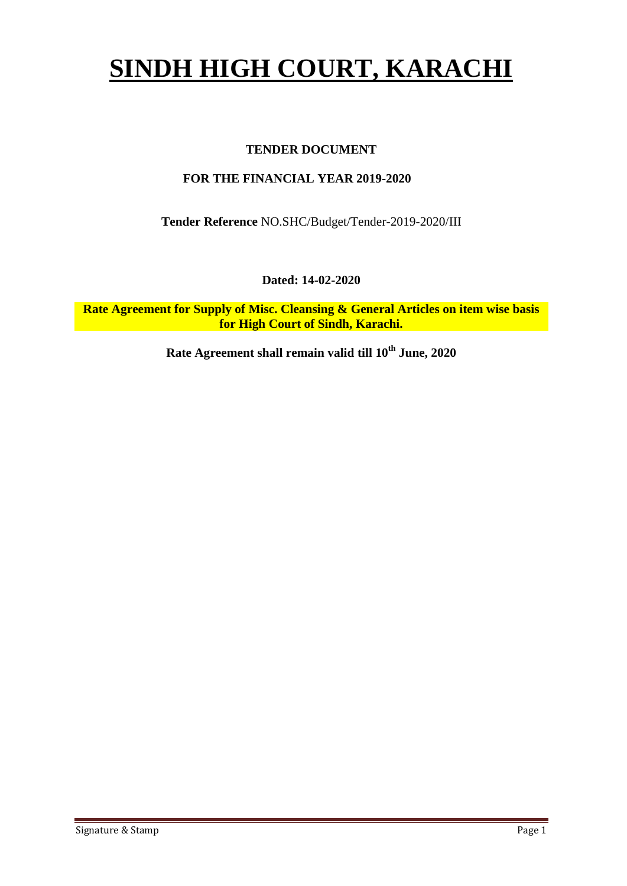# **SINDH HIGH COURT, KARACHI**

### **TENDER DOCUMENT**

#### **FOR THE FINANCIAL YEAR 2019-2020**

**Tender Reference** NO.SHC/Budget/Tender-2019-2020/III

**Dated: 14-02-2020**

**Rate Agreement for Supply of Misc. Cleansing & General Articles on item wise basis for High Court of Sindh, Karachi.**

**Rate Agreement shall remain valid till 10th June, 2020**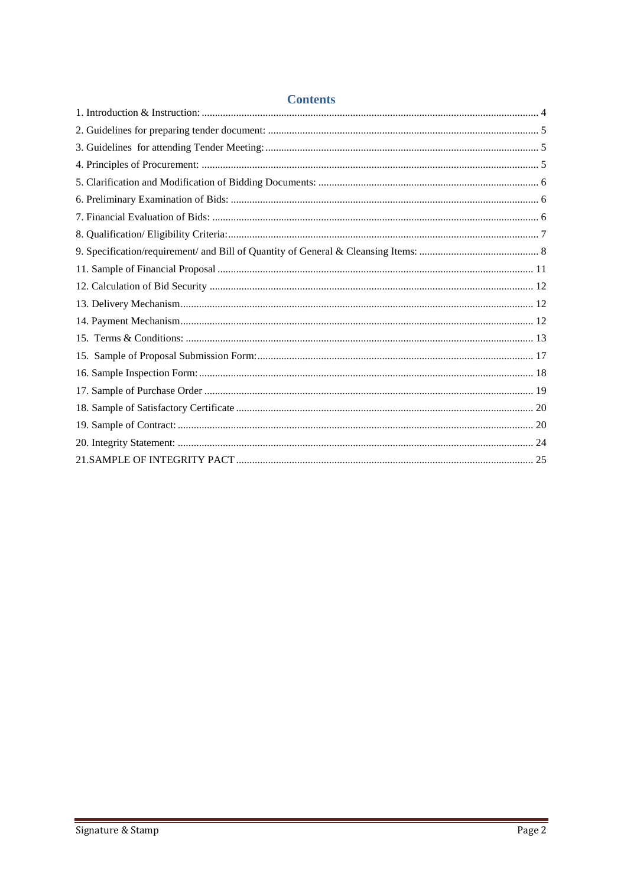| Comunico |  |
|----------|--|
|          |  |
|          |  |
|          |  |
|          |  |
|          |  |
|          |  |
|          |  |
|          |  |
|          |  |
|          |  |
|          |  |
|          |  |
|          |  |
|          |  |
|          |  |
|          |  |
|          |  |
|          |  |
|          |  |
|          |  |
|          |  |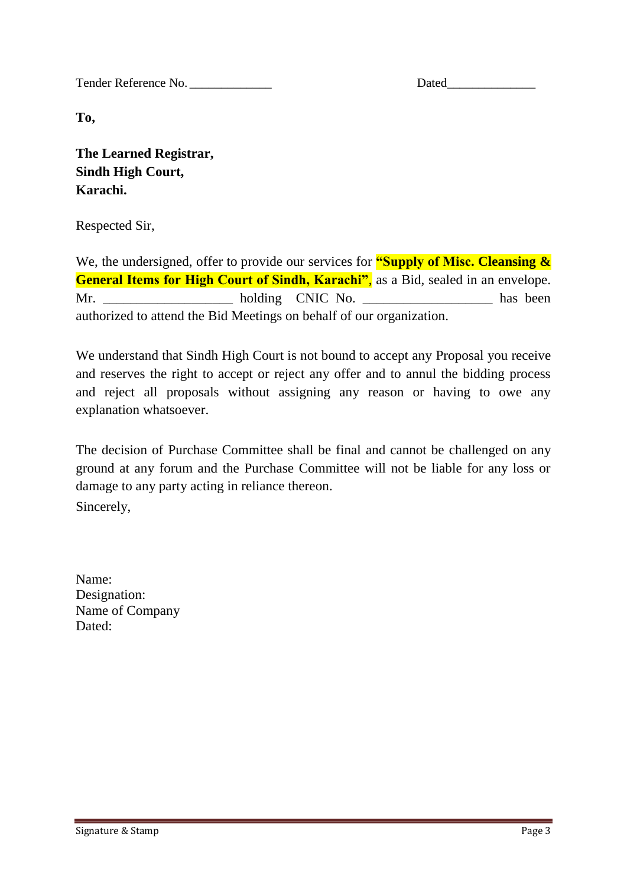Tender Reference No. \_\_\_\_\_\_\_\_\_\_\_\_\_ Dated\_\_\_\_\_\_\_\_\_\_\_\_\_\_

**To,** 

**The Learned Registrar, Sindh High Court, Karachi.**

Respected Sir,

We, the undersigned, offer to provide our services for **"Supply of Misc. Cleansing & General Items for High Court of Sindh, Karachi"**, as a Bid, sealed in an envelope. Mr. holding CNIC No. has been authorized to attend the Bid Meetings on behalf of our organization.

We understand that Sindh High Court is not bound to accept any Proposal you receive and reserves the right to accept or reject any offer and to annul the bidding process and reject all proposals without assigning any reason or having to owe any explanation whatsoever.

The decision of Purchase Committee shall be final and cannot be challenged on any ground at any forum and the Purchase Committee will not be liable for any loss or damage to any party acting in reliance thereon. Sincerely,

Name: Designation: Name of Company Dated: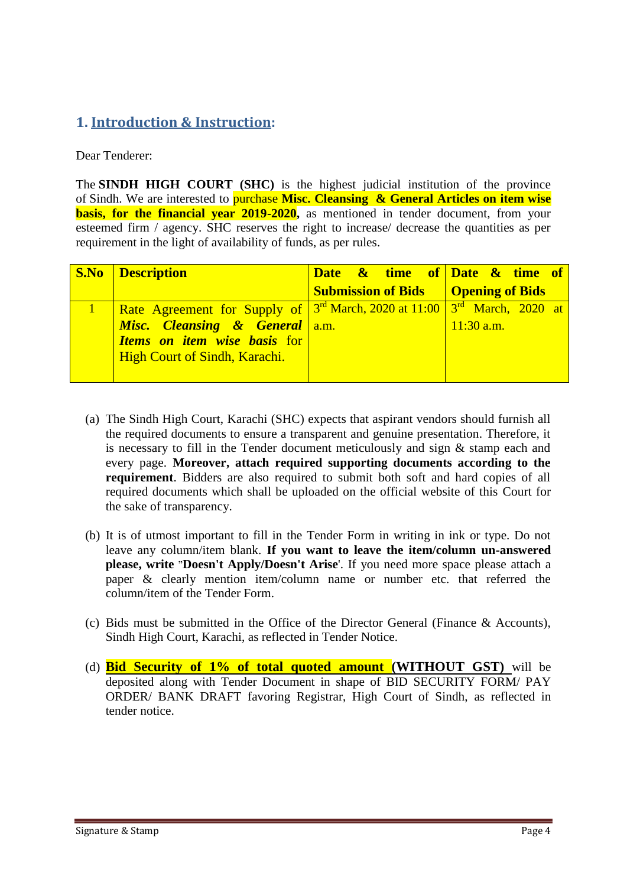## <span id="page-3-0"></span>**1. Introduction & Instruction:**

Dear Tenderer:

The **SINDH HIGH COURT (SHC)** is the highest judicial institution of the province of [Sindh.](https://en.wikipedia.org/wiki/Sindh) We are interested to purchase **Misc. Cleansing & General Articles on item wise basis, for the financial year 2019-2020**, as mentioned in tender document, from your esteemed firm / agency. SHC reserves the right to increase/ decrease the quantities as per requirement in the light of availability of funds, as per rules.

| <b>S.No</b> Description                                                                                                                                                                                    | Date $\&$ time of Date $\&$ time of         |              |
|------------------------------------------------------------------------------------------------------------------------------------------------------------------------------------------------------------|---------------------------------------------|--------------|
|                                                                                                                                                                                                            | <b>Submission of Bids</b>   Opening of Bids |              |
| Rate Agreement for Supply of $3^{rd}$ March, 2020 at 11:00 $3^{rd}$ March, 2020 at<br><b>Misc.</b> Cleansing & General a.m.<br><b>Items on item wise basis for</b><br><b>High Court of Sindh, Karachi.</b> |                                             | $11:30$ a.m. |

- (a) The Sindh High Court, Karachi (SHC) expects that aspirant vendors should furnish all the required documents to ensure a transparent and genuine presentation. Therefore, it is necessary to fill in the Tender document meticulously and sign & stamp each and every page. **Moreover, attach required supporting documents according to the requirement**. Bidders are also required to submit both soft and hard copies of all required documents which shall be uploaded on the official website of this Court for the sake of transparency.
- (b) It is of utmost important to fill in the Tender Form in writing in ink or type. Do not leave any column/item blank. **If you want to leave the item/column un-answered please, write "Doesn't Apply/Doesn't Arise**'. If you need more space please attach a paper & clearly mention item/column name or number etc. that referred the column/item of the Tender Form.
- (c) Bids must be submitted in the Office of the Director General (Finance & Accounts), Sindh High Court, Karachi, as reflected in Tender Notice.
- (d) **Bid Security of 1% of total quoted amount (WITHOUT GST)** will be deposited along with Tender Document in shape of BID SECURITY FORM/ PAY ORDER/ BANK DRAFT favoring Registrar, High Court of Sindh, as reflected in tender notice.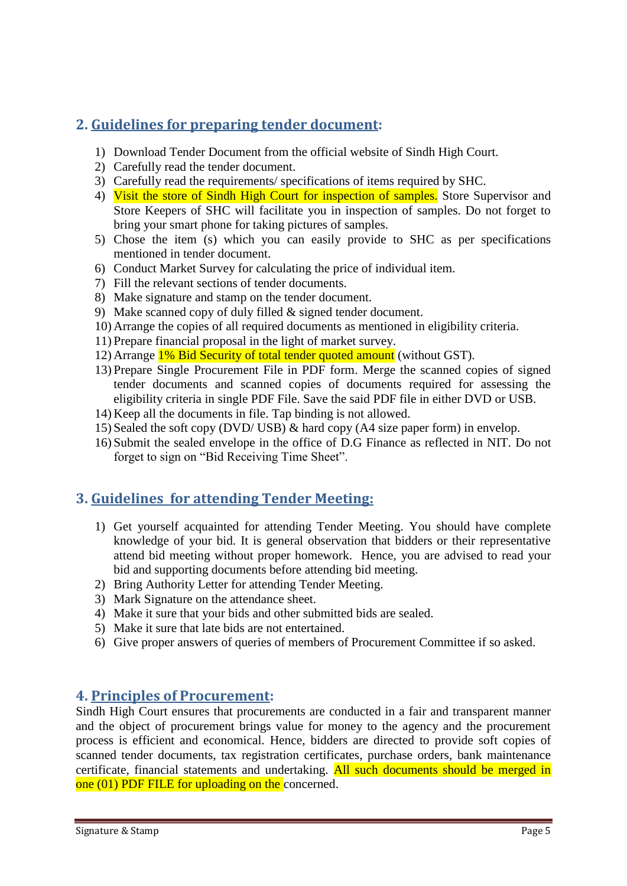## <span id="page-4-0"></span>**2. Guidelines for preparing tender document:**

- 1) Download Tender Document from the official website of Sindh High Court.
- 2) Carefully read the tender document.
- 3) Carefully read the requirements/ specifications of items required by SHC.
- 4) Visit the store of Sindh High Court for inspection of samples. Store Supervisor and Store Keepers of SHC will facilitate you in inspection of samples. Do not forget to bring your smart phone for taking pictures of samples.
- 5) Chose the item (s) which you can easily provide to SHC as per specifications mentioned in tender document.
- 6) Conduct Market Survey for calculating the price of individual item.
- 7) Fill the relevant sections of tender documents.
- 8) Make signature and stamp on the tender document.
- 9) Make scanned copy of duly filled & signed tender document.
- 10) Arrange the copies of all required documents as mentioned in eligibility criteria.
- 11) Prepare financial proposal in the light of market survey.
- 12) Arrange 1% Bid Security of total tender quoted amount (without GST).
- 13) Prepare Single Procurement File in PDF form. Merge the scanned copies of signed tender documents and scanned copies of documents required for assessing the eligibility criteria in single PDF File. Save the said PDF file in either DVD or USB.
- 14) Keep all the documents in file. Tap binding is not allowed.
- 15) Sealed the soft copy (DVD/ USB) & hard copy (A4 size paper form) in envelop.
- 16) Submit the sealed envelope in the office of D.G Finance as reflected in NIT. Do not forget to sign on "Bid Receiving Time Sheet".

## <span id="page-4-1"></span>**3. Guidelines for attending Tender Meeting:**

- 1) Get yourself acquainted for attending Tender Meeting. You should have complete knowledge of your bid. It is general observation that bidders or their representative attend bid meeting without proper homework. Hence, you are advised to read your bid and supporting documents before attending bid meeting.
- 2) Bring Authority Letter for attending Tender Meeting.
- 3) Mark Signature on the attendance sheet.
- 4) Make it sure that your bids and other submitted bids are sealed.
- 5) Make it sure that late bids are not entertained.
- 6) Give proper answers of queries of members of Procurement Committee if so asked.

## <span id="page-4-2"></span>**4. Principles of Procurement:**

Sindh High Court ensures that procurements are conducted in a fair and transparent manner and the object of procurement brings value for money to the agency and the procurement process is efficient and economical. Hence, bidders are directed to provide soft copies of scanned tender documents, tax registration certificates, purchase orders, bank maintenance certificate, financial statements and undertaking. All such documents should be merged in one (01) PDF FILE for uploading on the concerned.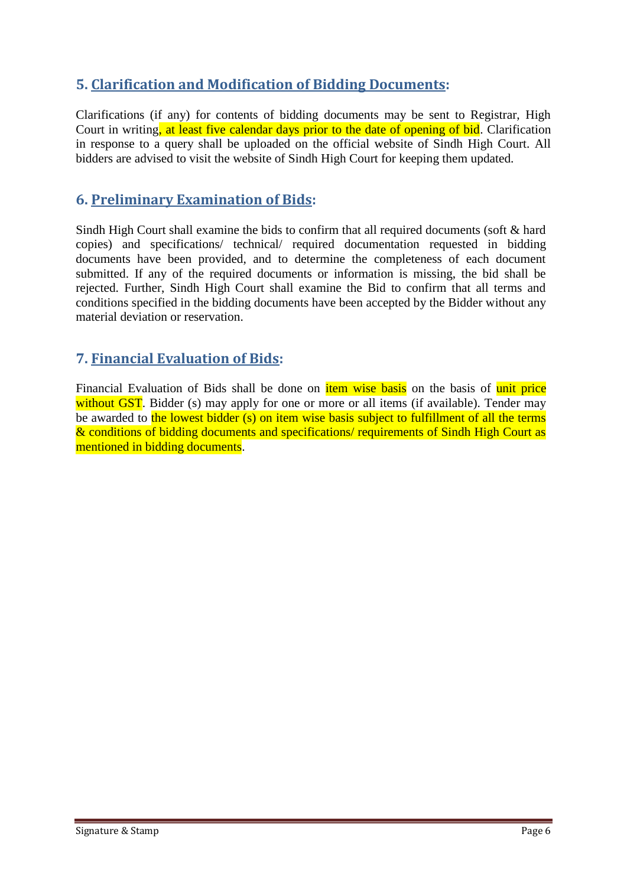## <span id="page-5-0"></span>**5. Clarification and Modification of Bidding Documents:**

Clarifications (if any) for contents of bidding documents may be sent to Registrar, High Court in writing, at least five calendar days prior to the date of opening of bid. Clarification in response to a query shall be uploaded on the official website of Sindh High Court. All bidders are advised to visit the website of Sindh High Court for keeping them updated.

## <span id="page-5-1"></span>**6. Preliminary Examination of Bids:**

Sindh High Court shall examine the bids to confirm that all required documents (soft & hard copies) and specifications/ technical/ required documentation requested in bidding documents have been provided, and to determine the completeness of each document submitted. If any of the required documents or information is missing, the bid shall be rejected. Further, Sindh High Court shall examine the Bid to confirm that all terms and conditions specified in the bidding documents have been accepted by the Bidder without any material deviation or reservation.

## <span id="page-5-2"></span>**7. Financial Evaluation of Bids:**

Financial Evaluation of Bids shall be done on *item wise basis* on the basis of unit price without GST. Bidder (s) may apply for one or more or all items (if available). Tender may be awarded to the lowest bidder (s) on item wise basis subject to fulfillment of all the terms & conditions of bidding documents and specifications/ requirements of Sindh High Court as mentioned in bidding documents.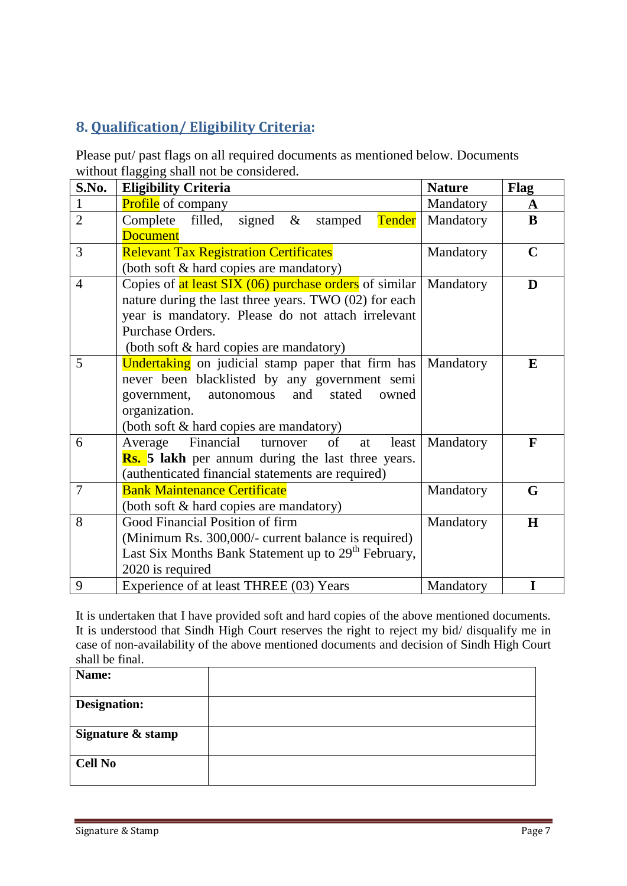## <span id="page-6-0"></span>**8. Qualification/ Eligibility Criteria:**

Please put/ past flags on all required documents as mentioned below. Documents without flagging shall not be considered.

| S.No.          | <b>Eligibility Criteria</b>                                     | <b>Nature</b> | <b>Flag</b> |
|----------------|-----------------------------------------------------------------|---------------|-------------|
| $\mathbf{1}$   | <b>Profile</b> of company                                       | Mandatory     | A           |
| $\overline{2}$ | filled,<br>Complete<br>signed $\&$<br>Tender<br>stamped         | Mandatory     | $\bf{B}$    |
|                | <b>Document</b>                                                 |               |             |
| 3              | <b>Relevant Tax Registration Certificates</b>                   | Mandatory     | $\mathbf C$ |
|                | (both soft & hard copies are mandatory)                         |               |             |
| $\overline{4}$ | Copies of at least SIX (06) purchase orders of similar          | Mandatory     | D           |
|                | nature during the last three years. TWO (02) for each           |               |             |
|                | year is mandatory. Please do not attach irrelevant              |               |             |
|                | Purchase Orders.                                                |               |             |
|                | (both soft & hard copies are mandatory)                         |               |             |
| 5              | <b>Undertaking</b> on judicial stamp paper that firm has        | Mandatory     | E           |
|                | never been blacklisted by any government semi                   |               |             |
|                | and<br>government,<br>autonomous<br>stated<br>owned             |               |             |
|                | organization.                                                   |               |             |
|                | (both soft & hard copies are mandatory)                         |               |             |
| 6              | Financial<br>turnover<br>of<br>Average<br>least<br>at           | Mandatory     | F           |
|                | <b>Rs.</b> 5 lakh per annum during the last three years.        |               |             |
|                | (authenticated financial statements are required)               |               |             |
| $\overline{7}$ | <b>Bank Maintenance Certificate</b>                             | Mandatory     | G           |
|                | (both soft & hard copies are mandatory)                         |               |             |
| 8              | Good Financial Position of firm                                 | Mandatory     | H           |
|                | (Minimum Rs. 300,000/- current balance is required)             |               |             |
|                | Last Six Months Bank Statement up to 29 <sup>th</sup> February, |               |             |
|                | 2020 is required                                                |               |             |
| 9              | Experience of at least THREE (03) Years                         | Mandatory     | I           |

It is undertaken that I have provided soft and hard copies of the above mentioned documents. It is understood that Sindh High Court reserves the right to reject my bid/ disqualify me in case of non-availability of the above mentioned documents and decision of Sindh High Court shall be final.

| Name:               |  |
|---------------------|--|
| <b>Designation:</b> |  |
|                     |  |
| Signature & stamp   |  |
|                     |  |
| <b>Cell No</b>      |  |
|                     |  |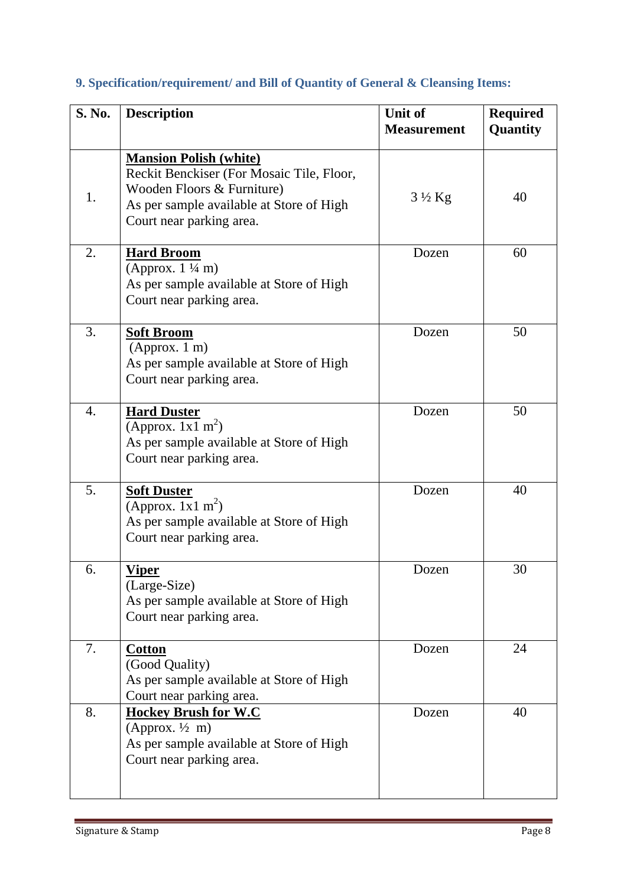| S. No. | <b>Description</b>                                                                                                                                                               | <b>Unit of</b><br><b>Measurement</b> | <b>Required</b><br>Quantity |
|--------|----------------------------------------------------------------------------------------------------------------------------------------------------------------------------------|--------------------------------------|-----------------------------|
| 1.     | <b>Mansion Polish (white)</b><br>Reckit Benckiser (For Mosaic Tile, Floor,<br>Wooden Floors & Furniture)<br>As per sample available at Store of High<br>Court near parking area. | $3\frac{1}{2}$ Kg                    | 40                          |
| 2.     | <b>Hard Broom</b><br>(Approx. $1\frac{1}{4}$ m)<br>As per sample available at Store of High<br>Court near parking area.                                                          | Dozen                                | 60                          |
| 3.     | <b>Soft Broom</b><br>(Approx. 1 m)<br>As per sample available at Store of High<br>Court near parking area.                                                                       | Dozen                                | 50                          |
| 4.     | <b>Hard Duster</b><br>(Approx. $1x1 \text{ m}^2$ )<br>As per sample available at Store of High<br>Court near parking area.                                                       | Dozen                                | 50                          |
| 5.     | <b>Soft Duster</b><br>(Approx. $1x1 \text{ m}^2$ )<br>As per sample available at Store of High<br>Court near parking area.                                                       | Dozen                                | 40                          |
| 6.     | <b>Viper</b><br>(Large-Size)<br>As per sample available at Store of High<br>Court near parking area.                                                                             | Dozen                                | 30                          |
| 7.     | <b>Cotton</b><br>(Good Quality)<br>As per sample available at Store of High<br>Court near parking area.                                                                          | Dozen                                | 24                          |
| 8.     | <b>Hockey Brush for W.C</b><br>(Approx. $\frac{1}{2}$ m)<br>As per sample available at Store of High<br>Court near parking area.                                                 | Dozen                                | 40                          |

# <span id="page-7-0"></span>**9. Specification/requirement/ and Bill of Quantity of General & Cleansing Items:**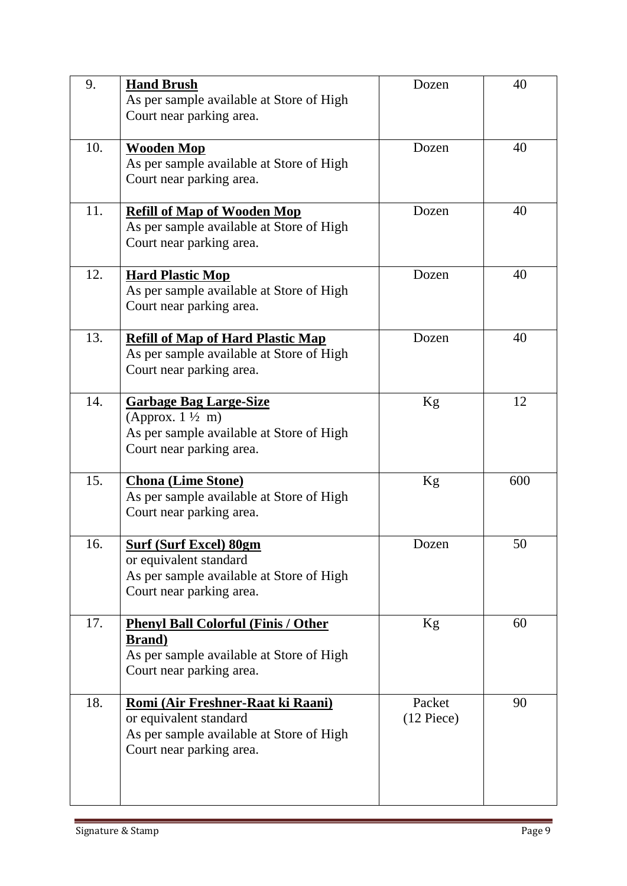| 9.  | <b>Hand Brush</b><br>As per sample available at Store of High<br>Court near parking area.                                            | Dozen                  | 40  |
|-----|--------------------------------------------------------------------------------------------------------------------------------------|------------------------|-----|
| 10. | <b>Wooden Mop</b><br>As per sample available at Store of High<br>Court near parking area.                                            | Dozen                  | 40  |
| 11. | <b>Refill of Map of Wooden Mop</b><br>As per sample available at Store of High<br>Court near parking area.                           | Dozen                  | 40  |
| 12. | <b>Hard Plastic Mop</b><br>As per sample available at Store of High<br>Court near parking area.                                      | Dozen                  | 40  |
| 13. | <b>Refill of Map of Hard Plastic Map</b><br>As per sample available at Store of High<br>Court near parking area.                     | Dozen                  | 40  |
| 14. | <b>Garbage Bag Large-Size</b><br>(Approx. $1\frac{1}{2}$ m)<br>As per sample available at Store of High<br>Court near parking area.  | Kg                     | 12  |
| 15. | <b>Chona</b> (Lime Stone)<br>As per sample available at Store of High<br>Court near parking area.                                    | Kg                     | 600 |
| 16. | <b>Surf (Surf Excel) 80gm</b><br>or equivalent standard<br>As per sample available at Store of High<br>Court near parking area.      | Dozen                  | 50  |
| 17. | <b>Phenyl Ball Colorful (Finis / Other</b><br><b>Brand</b> )<br>As per sample available at Store of High<br>Court near parking area. | Kg                     | 60  |
| 18. | Romi (Air Freshner-Raat ki Raani)<br>or equivalent standard<br>As per sample available at Store of High<br>Court near parking area.  | Packet<br>$(12$ Piece) | 90  |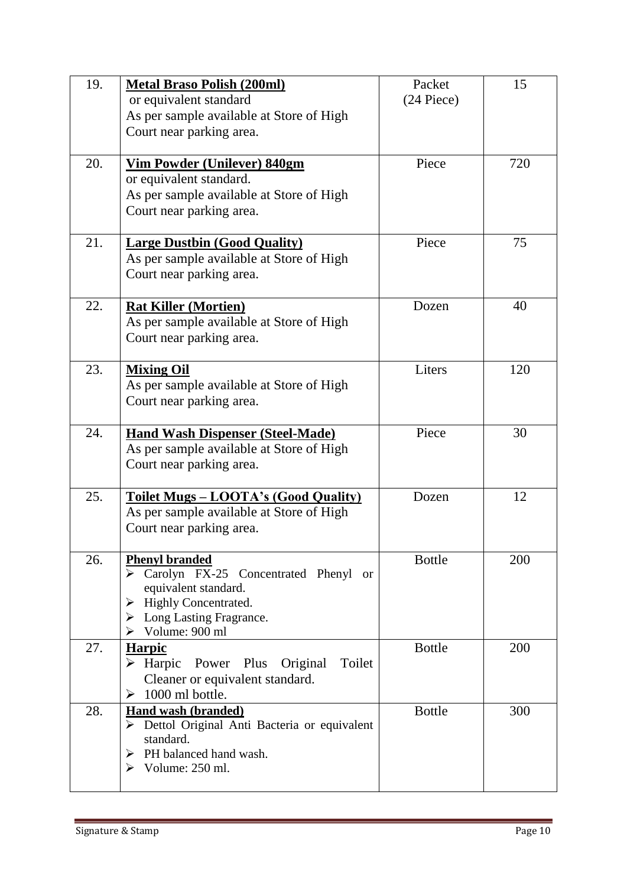| 19. | <b>Metal Braso Polish (200ml)</b><br>or equivalent standard<br>As per sample available at Store of High<br>Court near parking area.                                                                         | Packet<br>$(24$ Piece) | 15  |
|-----|-------------------------------------------------------------------------------------------------------------------------------------------------------------------------------------------------------------|------------------------|-----|
| 20. | Vim Powder (Unilever) 840gm<br>or equivalent standard.<br>As per sample available at Store of High<br>Court near parking area.                                                                              | Piece                  | 720 |
| 21. | <b>Large Dustbin (Good Quality)</b><br>As per sample available at Store of High<br>Court near parking area.                                                                                                 | Piece                  | 75  |
| 22. | <b>Rat Killer (Mortien)</b><br>As per sample available at Store of High<br>Court near parking area.                                                                                                         | Dozen                  | 40  |
| 23. | <b>Mixing Oil</b><br>As per sample available at Store of High<br>Court near parking area.                                                                                                                   | Liters                 | 120 |
| 24. | <b>Hand Wash Dispenser (Steel-Made)</b><br>As per sample available at Store of High<br>Court near parking area.                                                                                             | Piece                  | 30  |
| 25. | <u> Toilet Mugs – LOOTA's (Good Quality)</u><br>As per sample available at Store of High<br>Court near parking area.                                                                                        | Dozen                  | 12  |
| 26. | <b>Phenyl branded</b><br>Carolyn FX-25 Concentrated Phenyl<br>or<br>equivalent standard.<br><b>Highly Concentrated.</b><br>➤<br>$\triangleright$ Long Lasting Fragrance.<br>$\triangleright$ Volume: 900 ml | <b>Bottle</b>          | 200 |
| 27. | Harpic<br>Power Plus<br>Original<br>Toilet<br>$\triangleright$ Harpic<br>Cleaner or equivalent standard.<br>1000 ml bottle.<br>➤                                                                            | <b>Bottle</b>          | 200 |
| 28. | <b>Hand wash (branded)</b><br>$\triangleright$ Dettol Original Anti Bacteria or equivalent<br>standard.<br>PH balanced hand wash.<br>➤<br>$\triangleright$ Volume: 250 ml.                                  | <b>Bottle</b>          | 300 |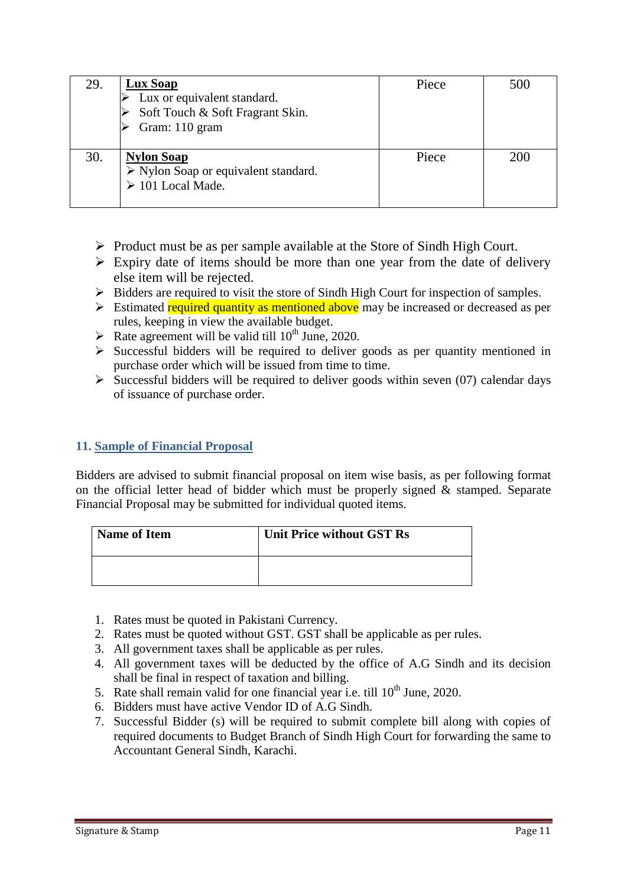| 29. | Lux Soap<br>Lux or equivalent standard.<br>Soft Touch & Soft Fragrant Skin.<br>Gram: 110 gram      | Piece | 500 |
|-----|----------------------------------------------------------------------------------------------------|-------|-----|
| 30. | <b>Nylon Soap</b><br>$\triangleright$ Nylon Soap or equivalent standard.<br>$\geq 101$ Local Made. | Piece | 200 |

- $\triangleright$  Product must be as per sample available at the Store of Sindh High Court.
- $\triangleright$  Expiry date of items should be more than one year from the date of delivery else item will be rejected.
- $\triangleright$  Bidders are required to visit the store of Sindh High Court for inspection of samples.
- $\triangleright$  Estimated required quantity as mentioned above may be increased or decreased as per rules, keeping in view the available budget.
- Rate agreement will be valid till  $10^{th}$  June, 2020.
- $\triangleright$  Successful bidders will be required to deliver goods as per quantity mentioned in purchase order which will be issued from time to time.
- $\triangleright$  Successful bidders will be required to deliver goods within seven (07) calendar days of issuance of purchase order.

## <span id="page-10-0"></span>**11. Sample of Financial Proposal**

Bidders are advised to submit financial proposal on item wise basis, as per following format on the official letter head of bidder which must be properly signed  $\&$  stamped. Separate Financial Proposal may be submitted for individual quoted items.

| <b>Name of Item</b> | <b>Unit Price without GST Rs</b> |
|---------------------|----------------------------------|
|                     |                                  |

- 1. Rates must be quoted in Pakistani Currency.
- 2. Rates must be quoted without GST. GST shall be applicable as per rules.
- 3. All government taxes shall be applicable as per rules.
- 4. All government taxes will be deducted by the office of A.G Sindh and its decision shall be final in respect of taxation and billing.
- 5. Rate shall remain valid for one financial year i.e. till  $10^{th}$  June, 2020.
- 6. Bidders must have active Vendor ID of A.G Sindh.
- 7. Successful Bidder (s) will be required to submit complete bill along with copies of required documents to Budget Branch of Sindh High Court for forwarding the same to Accountant General Sindh, Karachi.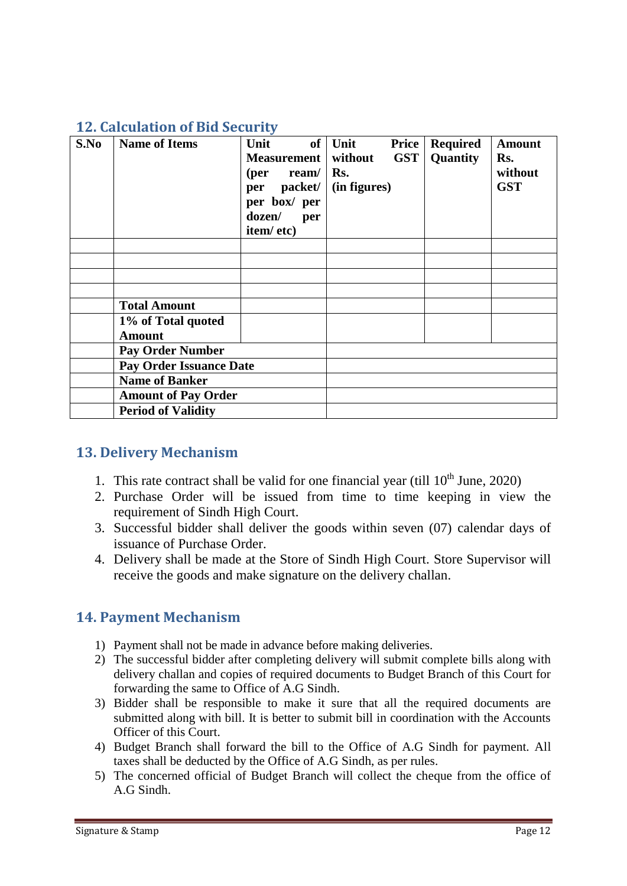## <span id="page-11-0"></span>**12. Calculation of Bid Security**

| S.No | <b>Name of Items</b>                | Unit<br>Measurement   without<br>$per$ ream/ $\mid$ Rs.<br>per packet/<br>per box/ per<br>dozen/<br>per | of Unit<br><b>Price</b><br><b>GST</b><br>(in figures) | <b>Required</b><br>Quantity | <b>Amount</b><br>Rs.<br>without<br><b>GST</b> |
|------|-------------------------------------|---------------------------------------------------------------------------------------------------------|-------------------------------------------------------|-----------------------------|-----------------------------------------------|
|      |                                     | item/etc)                                                                                               |                                                       |                             |                                               |
|      |                                     |                                                                                                         |                                                       |                             |                                               |
|      |                                     |                                                                                                         |                                                       |                             |                                               |
|      |                                     |                                                                                                         |                                                       |                             |                                               |
|      |                                     |                                                                                                         |                                                       |                             |                                               |
|      | <b>Total Amount</b>                 |                                                                                                         |                                                       |                             |                                               |
|      | 1% of Total quoted<br><b>Amount</b> |                                                                                                         |                                                       |                             |                                               |
|      | <b>Pay Order Number</b>             |                                                                                                         |                                                       |                             |                                               |
|      | <b>Pay Order Issuance Date</b>      |                                                                                                         |                                                       |                             |                                               |
|      | <b>Name of Banker</b>               |                                                                                                         |                                                       |                             |                                               |
|      | <b>Amount of Pay Order</b>          |                                                                                                         |                                                       |                             |                                               |
|      | <b>Period of Validity</b>           |                                                                                                         |                                                       |                             |                                               |

## <span id="page-11-1"></span>**13. Delivery Mechanism**

- 1. This rate contract shall be valid for one financial year (till  $10<sup>th</sup>$  June, 2020)
- 2. Purchase Order will be issued from time to time keeping in view the requirement of Sindh High Court.
- 3. Successful bidder shall deliver the goods within seven (07) calendar days of issuance of Purchase Order.
- 4. Delivery shall be made at the Store of Sindh High Court. Store Supervisor will receive the goods and make signature on the delivery challan.

## <span id="page-11-2"></span>**14. Payment Mechanism**

- 1) Payment shall not be made in advance before making deliveries.
- 2) The successful bidder after completing delivery will submit complete bills along with delivery challan and copies of required documents to Budget Branch of this Court for forwarding the same to Office of A.G Sindh.
- 3) Bidder shall be responsible to make it sure that all the required documents are submitted along with bill. It is better to submit bill in coordination with the Accounts Officer of this Court.
- 4) Budget Branch shall forward the bill to the Office of A.G Sindh for payment. All taxes shall be deducted by the Office of A.G Sindh, as per rules.
- 5) The concerned official of Budget Branch will collect the cheque from the office of A.G Sindh.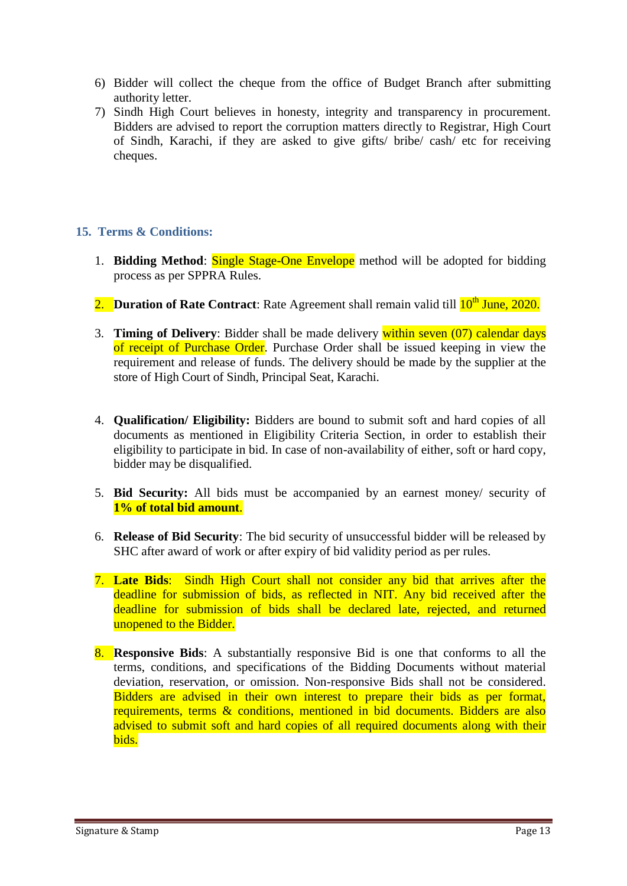- 6) Bidder will collect the cheque from the office of Budget Branch after submitting authority letter.
- 7) Sindh High Court believes in honesty, integrity and transparency in procurement. Bidders are advised to report the corruption matters directly to Registrar, High Court of Sindh, Karachi, if they are asked to give gifts/ bribe/ cash/ etc for receiving cheques.

## <span id="page-12-0"></span>**15. Terms & Conditions:**

- 1. **Bidding Method**: Single Stage-One Envelope method will be adopted for bidding process as per SPPRA Rules.
- 2. **Duration of Rate Contract**: Rate Agreement shall remain valid till  $10^{th}$  June, 2020.
- 3. **Timing of Delivery**: Bidder shall be made delivery within seven (07) calendar days of receipt of Purchase Order. Purchase Order shall be issued keeping in view the requirement and release of funds. The delivery should be made by the supplier at the store of High Court of Sindh, Principal Seat, Karachi.
- 4. **Qualification/ Eligibility:** Bidders are bound to submit soft and hard copies of all documents as mentioned in Eligibility Criteria Section, in order to establish their eligibility to participate in bid. In case of non-availability of either, soft or hard copy, bidder may be disqualified.
- 5. **Bid Security:** All bids must be accompanied by an earnest money/ security of **1% of total bid amount**.
- 6. **Release of Bid Security**: The bid security of unsuccessful bidder will be released by SHC after award of work or after expiry of bid validity period as per rules.
- 7. **Late Bids**: Sindh High Court shall not consider any bid that arrives after the deadline for submission of bids, as reflected in NIT. Any bid received after the deadline for submission of bids shall be declared late, rejected, and returned unopened to the Bidder.
- 8. **Responsive Bids**: A substantially responsive Bid is one that conforms to all the terms, conditions, and specifications of the Bidding Documents without material deviation, reservation, or omission. Non-responsive Bids shall not be considered. Bidders are advised in their own interest to prepare their bids as per format, requirements, terms & conditions, mentioned in bid documents. Bidders are also advised to submit soft and hard copies of all required documents along with their bids.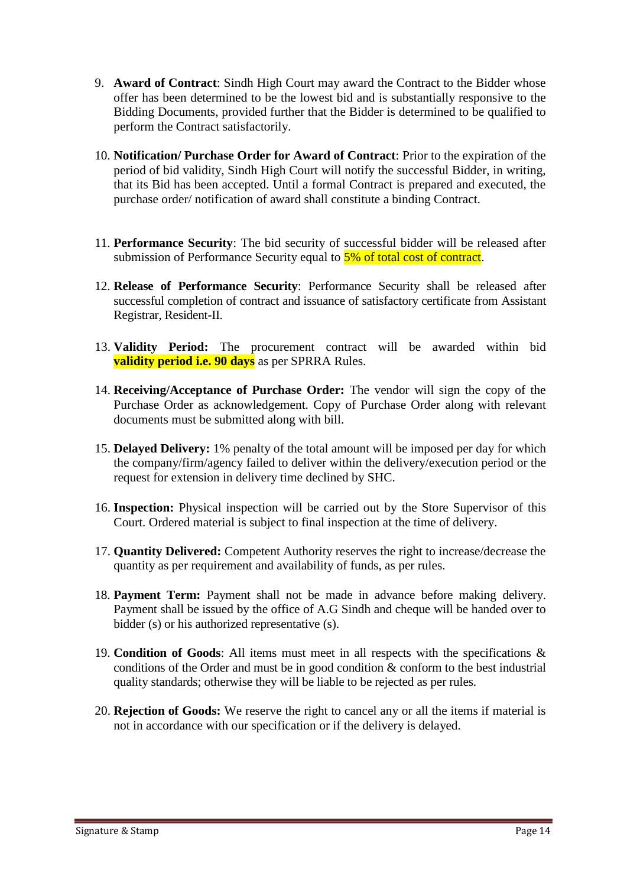- 9. **Award of Contract**: Sindh High Court may award the Contract to the Bidder whose offer has been determined to be the lowest bid and is substantially responsive to the Bidding Documents, provided further that the Bidder is determined to be qualified to perform the Contract satisfactorily.
- 10. **Notification/ Purchase Order for Award of Contract**: Prior to the expiration of the period of bid validity, Sindh High Court will notify the successful Bidder, in writing, that its Bid has been accepted. Until a formal Contract is prepared and executed, the purchase order/ notification of award shall constitute a binding Contract.
- 11. **Performance Security**: The bid security of successful bidder will be released after submission of Performance Security equal to  $\frac{5\%}{5\%}$  of total cost of contract.
- 12. **Release of Performance Security**: Performance Security shall be released after successful completion of contract and issuance of satisfactory certificate from Assistant Registrar, Resident-II.
- 13. **Validity Period:** The procurement contract will be awarded within bid **validity period i.e. 90 days** as per SPRRA Rules.
- 14. **Receiving/Acceptance of Purchase Order:** The vendor will sign the copy of the Purchase Order as acknowledgement. Copy of Purchase Order along with relevant documents must be submitted along with bill.
- 15. **Delayed Delivery:** 1% penalty of the total amount will be imposed per day for which the company/firm/agency failed to deliver within the delivery/execution period or the request for extension in delivery time declined by SHC.
- 16. **Inspection:** Physical inspection will be carried out by the Store Supervisor of this Court. Ordered material is subject to final inspection at the time of delivery.
- 17. **Quantity Delivered:** Competent Authority reserves the right to increase/decrease the quantity as per requirement and availability of funds, as per rules.
- 18. **Payment Term:** Payment shall not be made in advance before making delivery. Payment shall be issued by the office of A.G Sindh and cheque will be handed over to bidder (s) or his authorized representative (s).
- 19. **Condition of Goods**: All items must meet in all respects with the specifications & conditions of the Order and must be in good condition & conform to the best industrial quality standards; otherwise they will be liable to be rejected as per rules.
- 20. **Rejection of Goods:** We reserve the right to cancel any or all the items if material is not in accordance with our specification or if the delivery is delayed.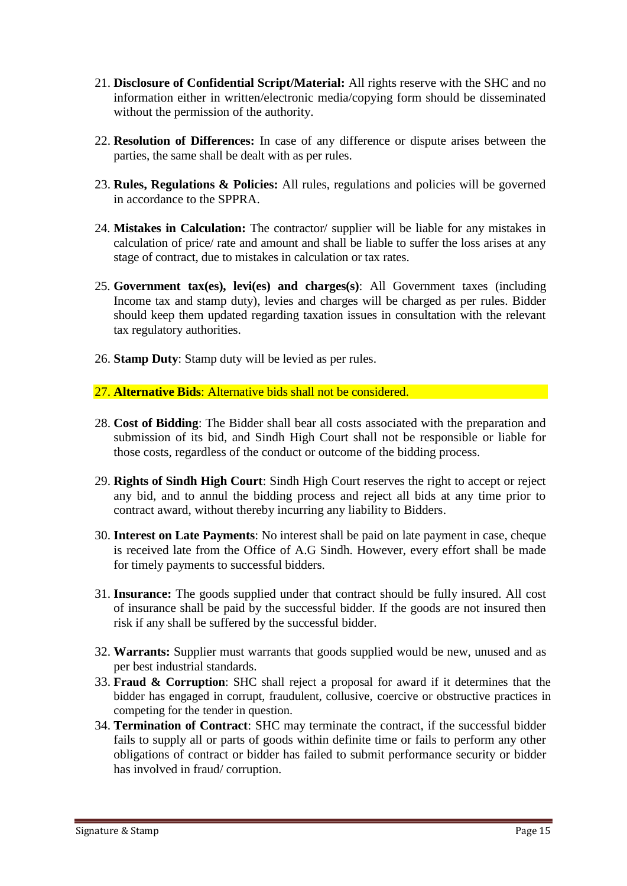- 21. **Disclosure of Confidential Script/Material:** All rights reserve with the SHC and no information either in written/electronic media/copying form should be disseminated without the permission of the authority.
- 22. **Resolution of Differences:** In case of any difference or dispute arises between the parties, the same shall be dealt with as per rules.
- 23. **Rules, Regulations & Policies:** All rules, regulations and policies will be governed in accordance to the SPPRA.
- 24. **Mistakes in Calculation:** The contractor/ supplier will be liable for any mistakes in calculation of price/ rate and amount and shall be liable to suffer the loss arises at any stage of contract, due to mistakes in calculation or tax rates.
- 25. **Government tax(es), levi(es) and charges(s)**: All Government taxes (including Income tax and stamp duty), levies and charges will be charged as per rules. Bidder should keep them updated regarding taxation issues in consultation with the relevant tax regulatory authorities.
- 26. **Stamp Duty**: Stamp duty will be levied as per rules.
- 27. **Alternative Bids**: Alternative bids shall not be considered.
- 28. **Cost of Bidding**: The Bidder shall bear all costs associated with the preparation and submission of its bid, and Sindh High Court shall not be responsible or liable for those costs, regardless of the conduct or outcome of the bidding process.
- 29. **Rights of Sindh High Court**: Sindh High Court reserves the right to accept or reject any bid, and to annul the bidding process and reject all bids at any time prior to contract award, without thereby incurring any liability to Bidders.
- 30. **Interest on Late Payments**: No interest shall be paid on late payment in case, cheque is received late from the Office of A.G Sindh. However, every effort shall be made for timely payments to successful bidders.
- 31. **Insurance:** The goods supplied under that contract should be fully insured. All cost of insurance shall be paid by the successful bidder. If the goods are not insured then risk if any shall be suffered by the successful bidder.
- 32. **Warrants:** Supplier must warrants that goods supplied would be new, unused and as per best industrial standards.
- 33. **Fraud & Corruption**: SHC shall reject a proposal for award if it determines that the bidder has engaged in corrupt, fraudulent, collusive, coercive or obstructive practices in competing for the tender in question.
- 34. **Termination of Contract**: SHC may terminate the contract, if the successful bidder fails to supply all or parts of goods within definite time or fails to perform any other obligations of contract or bidder has failed to submit performance security or bidder has involved in fraud/ corruption.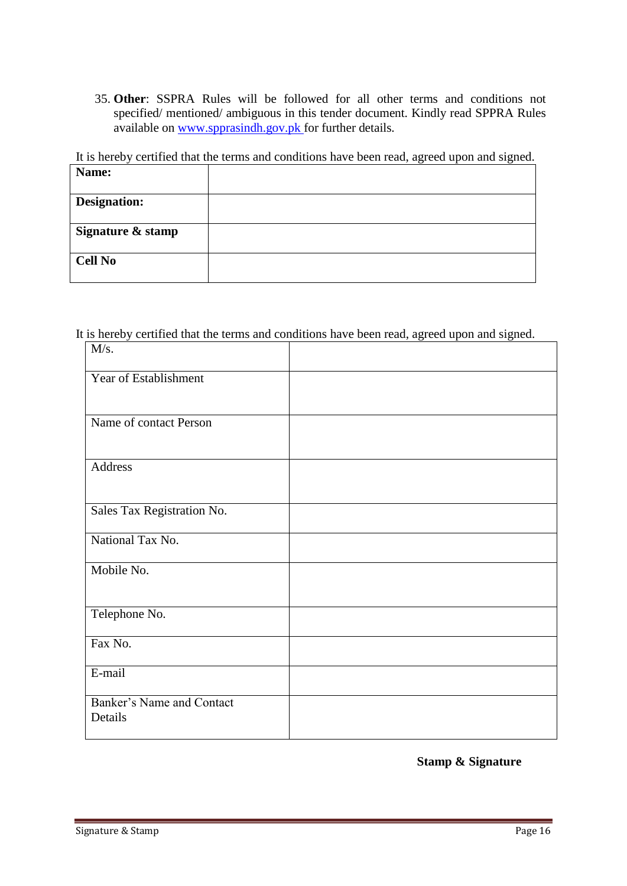35. **Other**: SSPRA Rules will be followed for all other terms and conditions not specified/ mentioned/ ambiguous in this tender document. Kindly read SPPRA Rules available on [www.spprasindh.gov.pk](http://www.spprasindh.gov.pk/) for further details.

It is hereby certified that the terms and conditions have been read, agreed upon and signed.

| Name:               |  |
|---------------------|--|
| <b>Designation:</b> |  |
| Signature & stamp   |  |
| <b>Cell No</b>      |  |

It is hereby certified that the terms and conditions have been read, agreed upon and signed.  $M/s$ Τ

| 171/ D.                              |  |
|--------------------------------------|--|
| Year of Establishment                |  |
| Name of contact Person               |  |
| Address                              |  |
| Sales Tax Registration No.           |  |
| National Tax No.                     |  |
| Mobile No.                           |  |
| Telephone No.                        |  |
| Fax No.                              |  |
| E-mail                               |  |
| Banker's Name and Contact<br>Details |  |

**Stamp & Signature**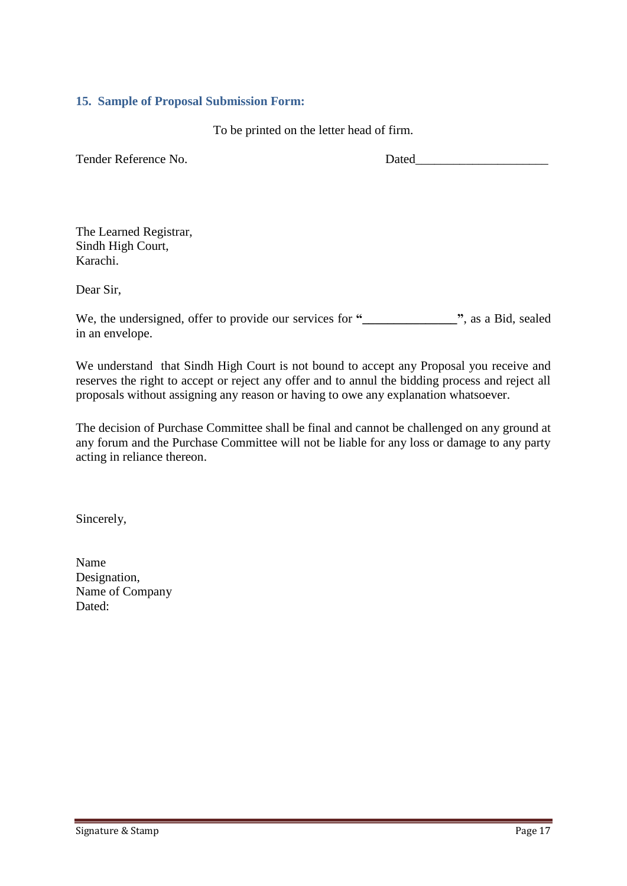#### <span id="page-16-0"></span>**15. Sample of Proposal Submission Form:**

To be printed on the letter head of firm.

Tender Reference No. 2008 and 2008 and 2008 and 2008 and 2008 and 2008 and 2008 and 2008 and 2008 and 2008 and 2008 and 2008 and 2008 and 2008 and 2008 and 2008 and 2008 and 2008 and 2008 and 2008 and 2008 and 2008 and 200

The Learned Registrar, Sindh High Court, Karachi.

Dear Sir,

We, the undersigned, offer to provide our services for **"\_\_\_\_\_\_\_\_\_\_\_\_\_\_\_"**, as a Bid, sealed in an envelope.

We understand that Sindh High Court is not bound to accept any Proposal you receive and reserves the right to accept or reject any offer and to annul the bidding process and reject all proposals without assigning any reason or having to owe any explanation whatsoever.

The decision of Purchase Committee shall be final and cannot be challenged on any ground at any forum and the Purchase Committee will not be liable for any loss or damage to any party acting in reliance thereon.

Sincerely,

Name Designation, Name of Company Dated: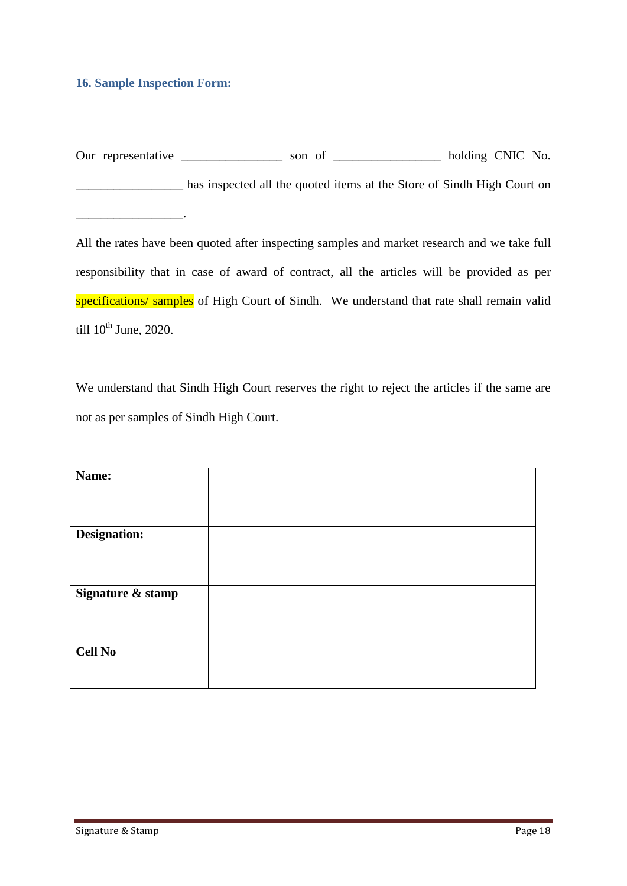#### <span id="page-17-0"></span>**16. Sample Inspection Form:**

 $\mathcal{L}$  and  $\mathcal{L}$  and  $\mathcal{L}$ 

Our representative \_\_\_\_\_\_\_\_\_\_\_\_\_\_\_\_ son of \_\_\_\_\_\_\_\_\_\_\_\_\_\_\_\_ holding CNIC No. has inspected all the quoted items at the Store of Sindh High Court on

All the rates have been quoted after inspecting samples and market research and we take full responsibility that in case of award of contract, all the articles will be provided as per specifications/ samples of High Court of Sindh. We understand that rate shall remain valid till  $10^{th}$  June, 2020.

We understand that Sindh High Court reserves the right to reject the articles if the same are not as per samples of Sindh High Court.

| Name:             |  |
|-------------------|--|
|                   |  |
| Designation:      |  |
| Signature & stamp |  |
| <b>Cell No</b>    |  |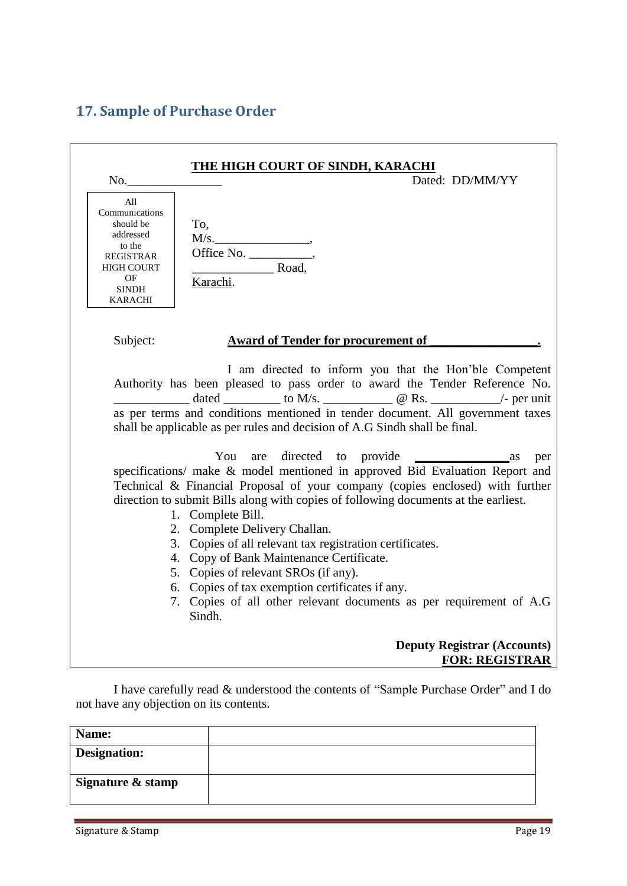# <span id="page-18-0"></span>**17. Sample of Purchase Order**

| No.                                                                                                                                        | <b>THE HIGH COURT OF SINDH, KARACHI</b><br>Dated: DD/MM/YY                                                                                                                                                                                                                                                                                                                                                                                                                                                                                                                                                                                                             |
|--------------------------------------------------------------------------------------------------------------------------------------------|------------------------------------------------------------------------------------------------------------------------------------------------------------------------------------------------------------------------------------------------------------------------------------------------------------------------------------------------------------------------------------------------------------------------------------------------------------------------------------------------------------------------------------------------------------------------------------------------------------------------------------------------------------------------|
| All<br>Communications<br>should be<br>addressed<br>to the<br><b>REGISTRAR</b><br><b>HIGH COURT</b><br>OF<br><b>SINDH</b><br><b>KARACHI</b> | To,<br>M/s.<br>$\overline{\phantom{a}}$ Road,<br>Karachi.                                                                                                                                                                                                                                                                                                                                                                                                                                                                                                                                                                                                              |
| Subject:                                                                                                                                   | <b>Award of Tender for procurement of</b>                                                                                                                                                                                                                                                                                                                                                                                                                                                                                                                                                                                                                              |
|                                                                                                                                            | I am directed to inform you that the Hon'ble Competent<br>Authority has been pleased to pass order to award the Tender Reference No.<br>dated ___________ to M/s. _______________ @ Rs. ____________/- per unit<br>as per terms and conditions mentioned in tender document. All government taxes<br>shall be applicable as per rules and decision of A.G Sindh shall be final.                                                                                                                                                                                                                                                                                        |
|                                                                                                                                            | are directed to provide<br>You<br>$\overline{\phantom{a}}$ as<br>per<br>specifications/ make & model mentioned in approved Bid Evaluation Report and<br>Technical & Financial Proposal of your company (copies enclosed) with further<br>direction to submit Bills along with copies of following documents at the earliest.<br>1. Complete Bill.<br>2. Complete Delivery Challan.<br>3. Copies of all relevant tax registration certificates.<br>4. Copy of Bank Maintenance Certificate.<br>5. Copies of relevant SROs (if any).<br>6. Copies of tax exemption certificates if any.<br>7. Copies of all other relevant documents as per requirement of A.G<br>Sindh. |
|                                                                                                                                            | <b>Deputy Registrar (Accounts)</b><br><b>FOR: REGISTRAR</b>                                                                                                                                                                                                                                                                                                                                                                                                                                                                                                                                                                                                            |

I have carefully read & understood the contents of "Sample Purchase Order" and I do not have any objection on its contents.

| Name:               |  |
|---------------------|--|
| <b>Designation:</b> |  |
| Signature & stamp   |  |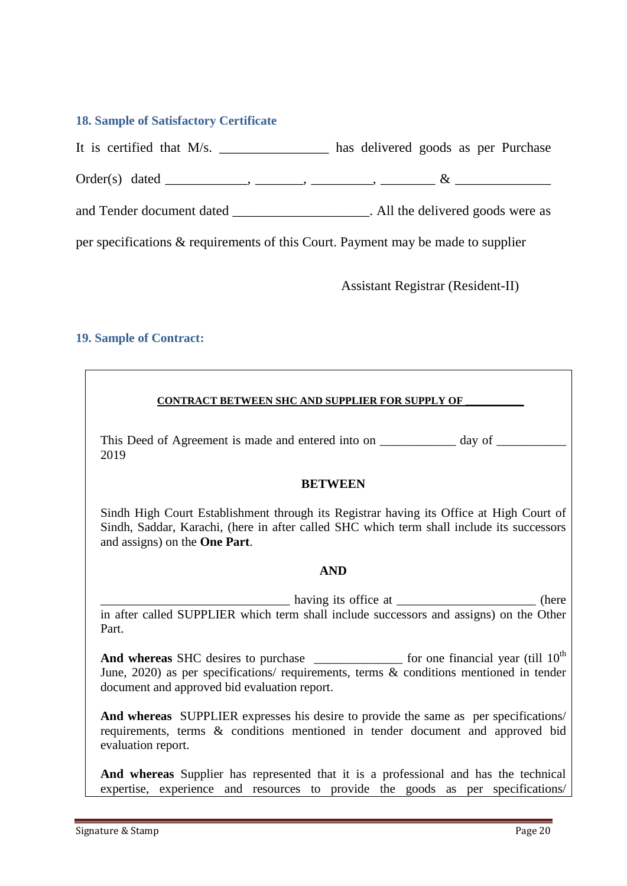#### <span id="page-19-0"></span>**18. Sample of Satisfactory Certificate**

It is certified that M/s. \_\_\_\_\_\_\_\_\_\_\_\_\_\_\_\_ has delivered goods as per Purchase

Order(s) dated \_\_\_\_\_\_\_\_\_\_\_\_, \_\_\_\_\_\_\_, \_\_\_\_\_\_\_\_\_, \_\_\_\_\_\_\_\_ & \_\_\_\_\_\_\_\_\_\_\_\_\_\_

and Tender document dated \_\_\_\_\_\_\_\_\_\_\_\_\_\_\_\_\_\_\_\_\_\_. All the delivered goods were as

per specifications & requirements of this Court. Payment may be made to supplier

Assistant Registrar (Resident-II)

#### <span id="page-19-1"></span>**19. Sample of Contract:**

#### **CONTRACT BETWEEN SHC AND SUPPLIER FOR SUPPLY OF \_\_\_\_\_\_\_\_\_\_\_**

This Deed of Agreement is made and entered into on \_\_\_\_\_\_\_\_\_\_\_ day of \_\_\_\_\_\_\_\_\_\_ 2019

#### **BETWEEN**

Sindh High Court Establishment through its Registrar having its Office at High Court of Sindh, Saddar, Karachi, (here in after called SHC which term shall include its successors and assigns) on the **One Part**.

#### **AND**

having its office at \_\_\_\_\_\_\_\_\_\_\_\_\_\_\_\_\_\_\_\_\_\_\_\_\_\_ (here in after called SUPPLIER which term shall include successors and assigns) on the Other Part.

**And whereas** SHC desires to purchase **the example of the set of the set of the set of the set of the set of the set of the set of the set of the set of the set of the set of the set of the set of the set of the set of the** June, 2020) as per specifications/ requirements, terms & conditions mentioned in tender document and approved bid evaluation report.

**And whereas** SUPPLIER expresses his desire to provide the same as per specifications/ requirements, terms & conditions mentioned in tender document and approved bid evaluation report.

**And whereas** Supplier has represented that it is a professional and has the technical expertise, experience and resources to provide the goods as per specifications/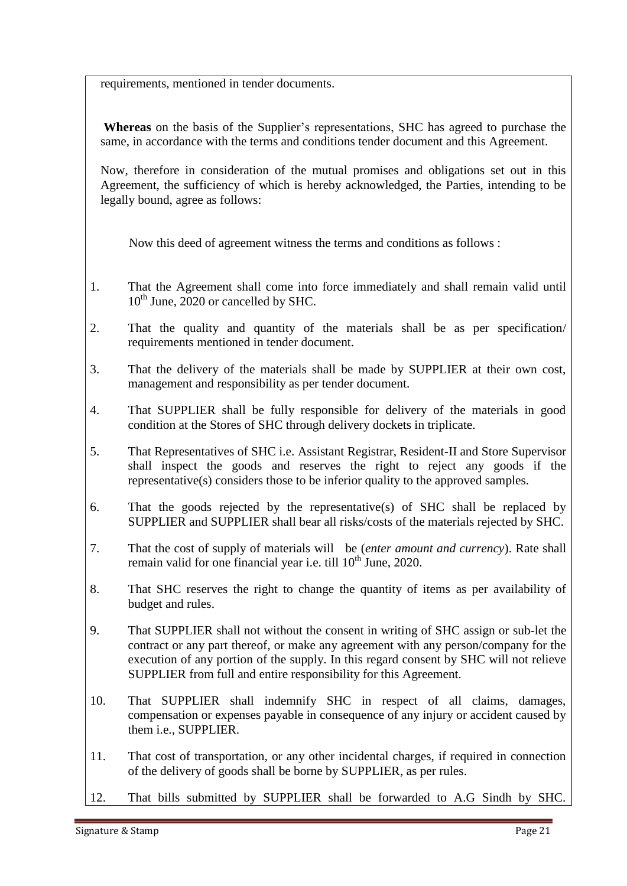requirements, mentioned in tender documents.

**Whereas** on the basis of the Supplier"s representations, SHC has agreed to purchase the same, in accordance with the terms and conditions tender document and this Agreement.

Now, therefore in consideration of the mutual promises and obligations set out in this Agreement, the sufficiency of which is hereby acknowledged, the Parties, intending to be legally bound, agree as follows:

Now this deed of agreement witness the terms and conditions as follows :

- 1. That the Agreement shall come into force immediately and shall remain valid until  $10^{th}$  June, 2020 or cancelled by SHC.
- 2. That the quality and quantity of the materials shall be as per specification/ requirements mentioned in tender document.
- 3. That the delivery of the materials shall be made by SUPPLIER at their own cost, management and responsibility as per tender document.
- 4. That SUPPLIER shall be fully responsible for delivery of the materials in good condition at the Stores of SHC through delivery dockets in triplicate.
- 5. That Representatives of SHC i.e. Assistant Registrar, Resident-II and Store Supervisor shall inspect the goods and reserves the right to reject any goods if the representative(s) considers those to be inferior quality to the approved samples.
- 6. That the goods rejected by the representative(s) of SHC shall be replaced by SUPPLIER and SUPPLIER shall bear all risks/costs of the materials rejected by SHC.
- 7. That the cost of supply of materials will be (*enter amount and currency*). Rate shall remain valid for one financial year i.e. till  $10<sup>th</sup>$  June, 2020.
- 8. That SHC reserves the right to change the quantity of items as per availability of budget and rules.
- 9. That SUPPLIER shall not without the consent in writing of SHC assign or sub-let the contract or any part thereof, or make any agreement with any person/company for the execution of any portion of the supply. In this regard consent by SHC will not relieve SUPPLIER from full and entire responsibility for this Agreement.
- 10. That SUPPLIER shall indemnify SHC in respect of all claims, damages, compensation or expenses payable in consequence of any injury or accident caused by them i.e., SUPPLIER.
- 11. That cost of transportation, or any other incidental charges, if required in connection of the delivery of goods shall be borne by SUPPLIER, as per rules.
- 12. That bills submitted by SUPPLIER shall be forwarded to A.G Sindh by SHC.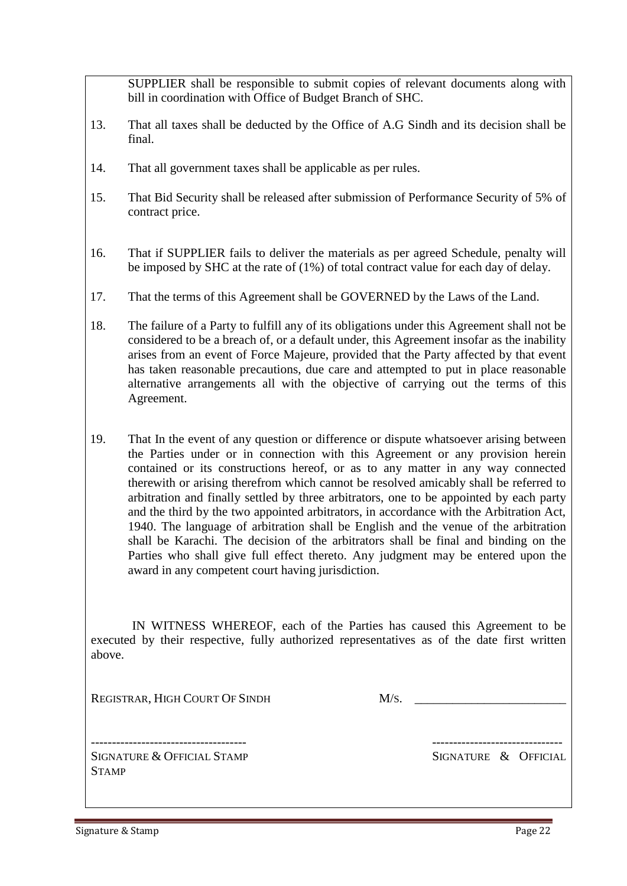SUPPLIER shall be responsible to submit copies of relevant documents along with bill in coordination with Office of Budget Branch of SHC.

- 13. That all taxes shall be deducted by the Office of A.G Sindh and its decision shall be final.
- 14. That all government taxes shall be applicable as per rules.
- 15. That Bid Security shall be released after submission of Performance Security of 5% of contract price.
- 16. That if SUPPLIER fails to deliver the materials as per agreed Schedule, penalty will be imposed by SHC at the rate of (1%) of total contract value for each day of delay.
- 17. That the terms of this Agreement shall be GOVERNED by the Laws of the Land.
- 18. The failure of a Party to fulfill any of its obligations under this Agreement shall not be considered to be a breach of, or a default under, this Agreement insofar as the inability arises from an event of Force Majeure, provided that the Party affected by that event has taken reasonable precautions, due care and attempted to put in place reasonable alternative arrangements all with the objective of carrying out the terms of this Agreement.
- 19. That In the event of any question or difference or dispute whatsoever arising between the Parties under or in connection with this Agreement or any provision herein contained or its constructions hereof, or as to any matter in any way connected therewith or arising therefrom which cannot be resolved amicably shall be referred to arbitration and finally settled by three arbitrators, one to be appointed by each party and the third by the two appointed arbitrators, in accordance with the Arbitration Act, 1940. The language of arbitration shall be English and the venue of the arbitration shall be Karachi. The decision of the arbitrators shall be final and binding on the Parties who shall give full effect thereto. Any judgment may be entered upon the award in any competent court having jurisdiction.

 IN WITNESS WHEREOF, each of the Parties has caused this Agreement to be executed by their respective, fully authorized representatives as of the date first written above.

REGISTRAR, HIGH COURT OF SINDH M/S.

SIGNATURE & OFFICIAL STAMP SIGNATURE & OFFICIAL **STAMP** 

------------------------------------- -------------------------------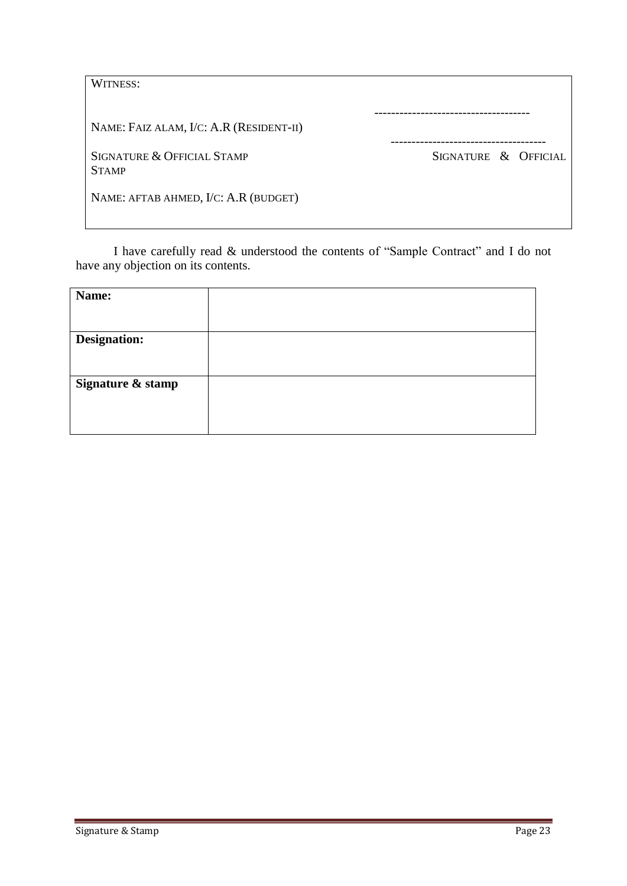| WITNESS:                                   |                      |
|--------------------------------------------|----------------------|
| NAME: FAIZ ALAM, I/C: A.R (RESIDENT-II)    |                      |
| SIGNATURE & OFFICIAL STAMP<br><b>STAMP</b> | SIGNATURE & OFFICIAL |
| NAME: AFTAB AHMED, I/C: A.R (BUDGET)       |                      |

I have carefully read & understood the contents of "Sample Contract" and I do not have any objection on its contents.

| Name:               |  |
|---------------------|--|
|                     |  |
| <b>Designation:</b> |  |
|                     |  |
| Signature & stamp   |  |
|                     |  |
|                     |  |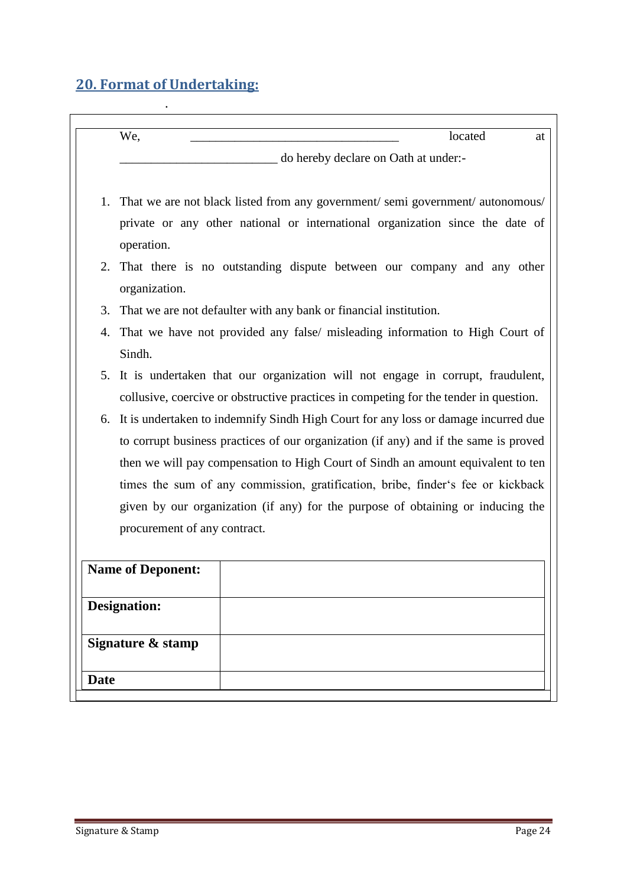# <span id="page-23-0"></span>**20. Format of Undertaking:**

|             | We,<br>located<br>at                                                                        |  |
|-------------|---------------------------------------------------------------------------------------------|--|
|             | do hereby declare on Oath at under:-                                                        |  |
| 1.          | That we are not black listed from any government/semi government/autonomous/                |  |
|             | private or any other national or international organization since the date of<br>operation. |  |
| 2.          | That there is no outstanding dispute between our company and any other                      |  |
|             | organization.                                                                               |  |
| 3.          | That we are not defaulter with any bank or financial institution.                           |  |
| 4.          | That we have not provided any false/ misleading information to High Court of                |  |
|             | Sindh.                                                                                      |  |
|             | 5. It is undertaken that our organization will not engage in corrupt, fraudulent,           |  |
|             | collusive, coercive or obstructive practices in competing for the tender in question.       |  |
| 6.          | It is undertaken to indemnify Sindh High Court for any loss or damage incurred due          |  |
|             | to corrupt business practices of our organization (if any) and if the same is proved        |  |
|             | then we will pay compensation to High Court of Sindh an amount equivalent to ten            |  |
|             | times the sum of any commission, gratification, bribe, finder's fee or kickback             |  |
|             | given by our organization (if any) for the purpose of obtaining or inducing the             |  |
|             | procurement of any contract.                                                                |  |
|             |                                                                                             |  |
|             | <b>Name of Deponent:</b>                                                                    |  |
|             |                                                                                             |  |
|             | <b>Designation:</b>                                                                         |  |
|             | Signature & stamp                                                                           |  |
|             |                                                                                             |  |
| <b>Date</b> |                                                                                             |  |